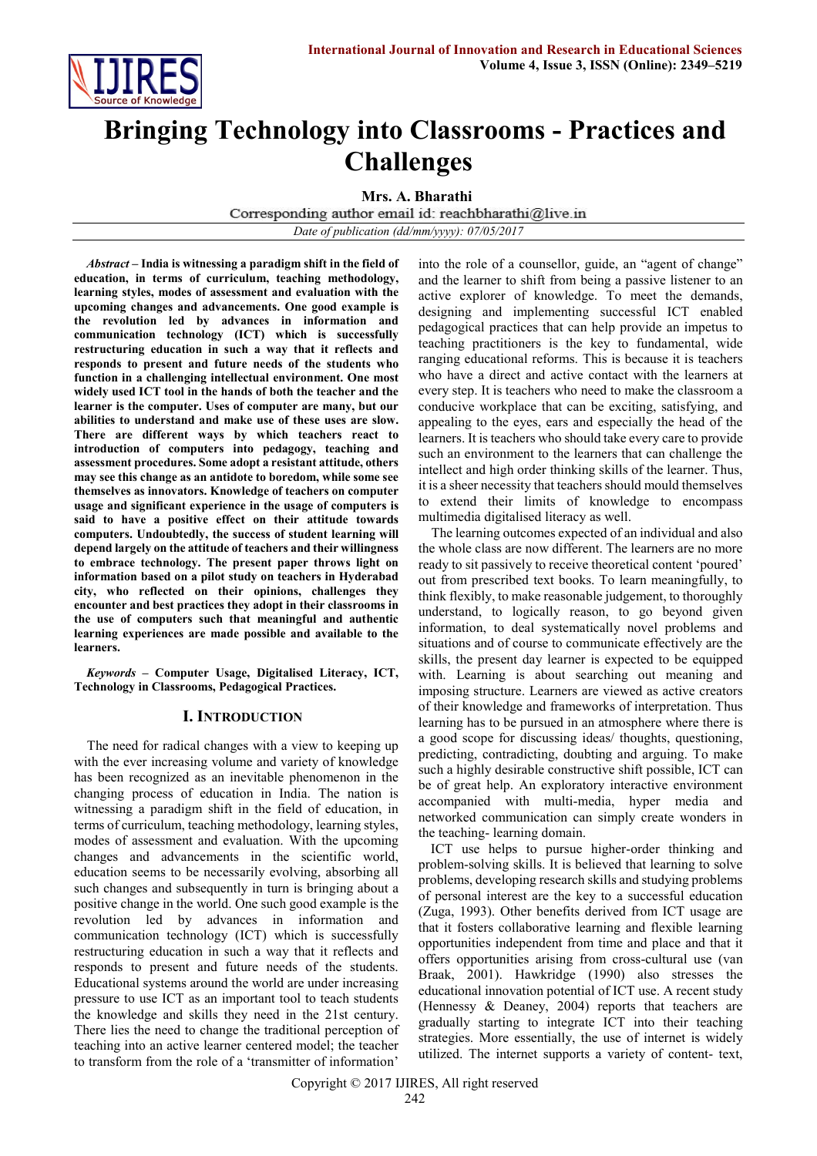

# **Bringing Technology into Classrooms - Practices and Challenges**

**Mrs. A. Bharathi**<br>Corresponding author email id: reachbharathi@live.in

*Date of publication (dd/mm/yyyy): 07/05/2017*

*Abstract* **– India is witnessing a paradigm shift in the field of education, in terms of curriculum, teaching methodology, learning styles, modes of assessment and evaluation with the upcoming changes and advancements. One good example is the revolution led by advances in information and communication technology (ICT) which is successfully restructuring education in such a way that it reflects and responds to present and future needs of the students who function in a challenging intellectual environment. One most widely used ICT tool in the hands of both the teacher and the learner is the computer. Uses of computer are many, but our abilities to understand and make use of these uses are slow. There are different ways by which teachers react to introduction of computers into pedagogy, teaching and assessment procedures. Some adopt a resistant attitude, others may see this change as an antidote to boredom, while some see themselves as innovators. Knowledge of teachers on computer usage and significant experience in the usage of computers is said to have a positive effect on their attitude towards computers. Undoubtedly, the success of student learning will depend largely on the attitude of teachers and their willingness to embrace technology. The present paper throws light on information based on a pilot study on teachers in Hyderabad city, who reflected on their opinions, challenges they encounter and best practices they adopt in their classrooms in the use of computers such that meaningful and authentic learning experiences are made possible and available to the learners.**

*Keywords* **– Computer Usage, Digitalised Literacy, ICT, Technology in Classrooms, Pedagogical Practices.**

#### **I. INTRODUCTION**

The need for radical changes with a view to keeping up with the ever increasing volume and variety of knowledge has been recognized as an inevitable phenomenon in the changing process of education in India. The nation is witnessing a paradigm shift in the field of education, in terms of curriculum, teaching methodology, learning styles, modes of assessment and evaluation. With the upcoming changes and advancements in the scientific world, education seems to be necessarily evolving, absorbing all such changes and subsequently in turn is bringing about a positive change in the world. One such good example is the revolution led by advances in information and communication technology (ICT) which is successfully restructuring education in such a way that it reflects and responds to present and future needs of the students. Educational systems around the world are under increasing pressure to use ICT as an important tool to teach students the knowledge and skills they need in the 21st century. There lies the need to change the traditional perception of teaching into an active learner centered model; the teacher to transform from the role of a 'transmitter of information'

into the role of a counsellor, guide, an "agent of change" and the learner to shift from being a passive listener to an active explorer of knowledge. To meet the demands, designing and implementing successful ICT enabled pedagogical practices that can help provide an impetus to teaching practitioners is the key to fundamental, wide ranging educational reforms. This is because it is teachers who have a direct and active contact with the learners at every step. It is teachers who need to make the classroom a conducive workplace that can be exciting, satisfying, and appealing to the eyes, ears and especially the head of the learners. It isteachers who should take every care to provide such an environment to the learners that can challenge the intellect and high order thinking skills of the learner. Thus, it is a sheer necessity that teachers should mould themselves to extend their limits of knowledge to encompass multimedia digitalised literacy as well.

The learning outcomes expected of an individual and also the whole class are now different. The learners are no more ready to sit passively to receive theoretical content 'poured' out from prescribed text books. To learn meaningfully, to think flexibly, to make reasonable judgement, to thoroughly understand, to logically reason, to go beyond given information, to deal systematically novel problems and situations and of course to communicate effectively are the skills, the present day learner is expected to be equipped with. Learning is about searching out meaning and imposing structure. Learners are viewed as active creators of their knowledge and frameworks of interpretation. Thus learning has to be pursued in an atmosphere where there is a good scope for discussing ideas/ thoughts, questioning, predicting, contradicting, doubting and arguing. To make such a highly desirable constructive shift possible, ICT can be of great help. An exploratory interactive environment accompanied with multi-media, hyper media and networked communication can simply create wonders in the teaching- learning domain.

ICT use helps to pursue higher-order thinking and problem-solving skills. It is believed that learning to solve problems, developing research skills and studying problems of personal interest are the key to a successful education (Zuga, 1993). Other benefits derived from ICT usage are that it fosters collaborative learning and flexible learning opportunities independent from time and place and that it offers opportunities arising from cross-cultural use (van Braak, 2001). Hawkridge (1990) also stresses the educational innovation potential of ICT use. A recent study (Hennessy & Deaney, 2004) reports that teachers are gradually starting to integrate ICT into their teaching strategies. More essentially, the use of internet is widely utilized. The internet supports a variety of content- text,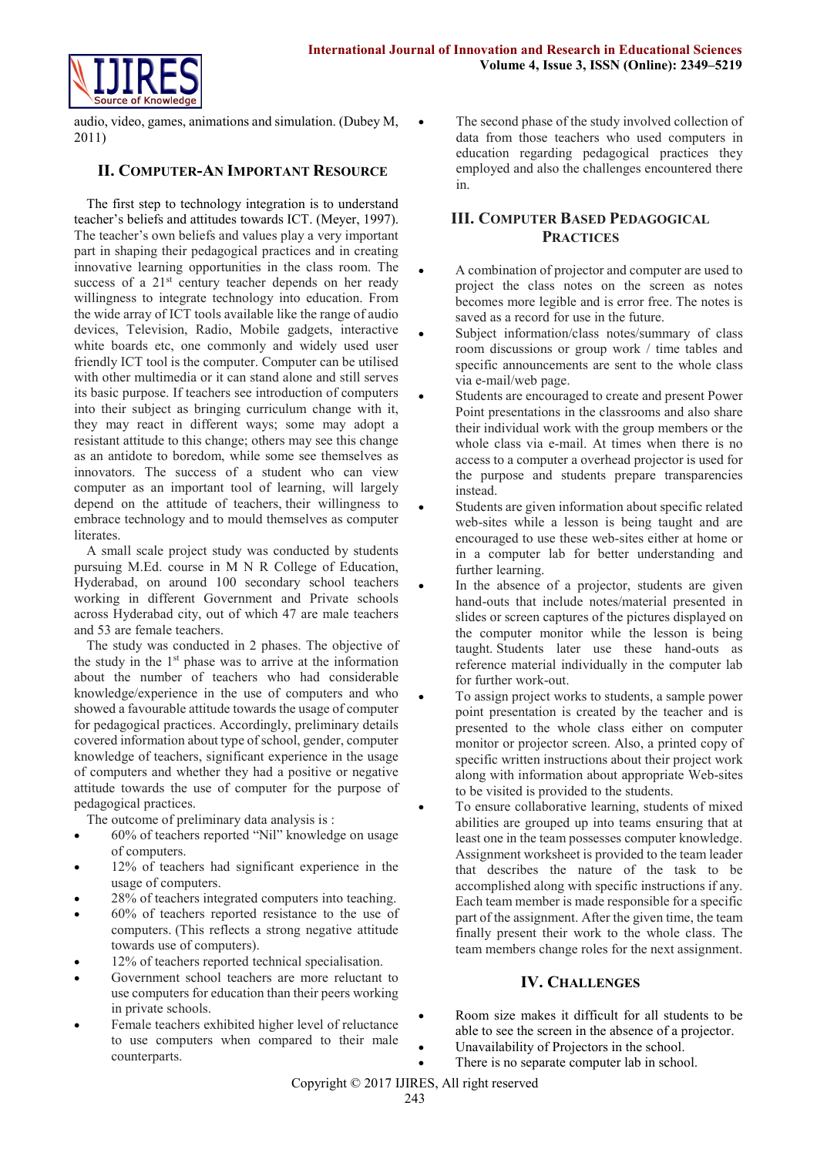

audio, video, games, animations and simulation. (Dubey M, 2011)

#### **II. COMPUTER-AN IMPORTANT RESOURCE**

The first step to technology integration is to understand teacher's beliefs and attitudes towards ICT. (Meyer, 1997). The teacher's own beliefs and values play a very important part in shaping their pedagogical practices and in creating innovative learning opportunities in the class room. The success of a  $21<sup>st</sup>$  century teacher depends on her ready willingness to integrate technology into education. From the wide array of ICT tools available like the range of audio devices, Television, Radio, Mobile gadgets, interactive white boards etc, one commonly and widely used user friendly ICT tool is the computer. Computer can be utilised with other multimedia or it can stand alone and still serves its basic purpose. If teachers see introduction of computers into their subject as bringing curriculum change with it, they may react in different ways; some may adopt a resistant attitude to this change; others may see this change as an antidote to boredom, while some see themselves as innovators. The success of a student who can view computer as an important tool of learning, will largely depend on the attitude of teachers, their willingness to embrace technology and to mould themselves as computer literates.

A small scale project study was conducted by students pursuing M.Ed. course in M N R College of Education, Hyderabad, on around 100 secondary school teachers working in different Government and Private schools across Hyderabad city, out of which 47 are male teachers and 53 are female teachers.

The study was conducted in 2 phases. The objective of the study in the 1<sup>st</sup> phase was to arrive at the information about the number of teachers who had considerable knowledge/experience in the use of computers and who showed a favourable attitude towards the usage of computer for pedagogical practices. Accordingly, preliminary details covered information about type of school, gender, computer knowledge of teachers, significant experience in the usage of computers and whether they had a positive or negative attitude towards the use of computer for the purpose of pedagogical practices.

The outcome of preliminary data analysis is :

- 60% of teachers reported "Nil" knowledge on usage of computers.
- 12% of teachers had significant experience in the usage of computers.
- 28% of teachers integrated computers into teaching.
- 60% of teachers reported resistance to the use of computers. (This reflects a strong negative attitude towards use of computers).
- 12% of teachers reported technical specialisation.
- Government school teachers are more reluctant to use computers for education than their peers working in private schools.
- Female teachers exhibited higher level of reluctance to use computers when compared to their male counterparts.

 The second phase of the study involved collection of data from those teachers who used computers in education regarding pedagogical practices they employed and also the challenges encountered there in.

## **III. COMPUTER BASED PEDAGOGICAL PRACTICES**

- A combination of projector and computer are used to project the class notes on the screen as notes becomes more legible and is error free. The notes is saved as a record for use in the future.
- Subject information/class notes/summary of class room discussions or group work / time tables and specific announcements are sent to the whole class via e-mail/web page.
- Students are encouraged to create and present Power Point presentations in the classrooms and also share their individual work with the group members or the whole class via e-mail. At times when there is no access to a computer a overhead projector is used for the purpose and students prepare transparencies instead.
- Students are given information about specific related web-sites while a lesson is being taught and are encouraged to use these web-sites either at home or in a computer lab for better understanding and further learning.
- In the absence of a projector, students are given hand-outs that include notes/material presented in slides or screen captures of the pictures displayed on the computer monitor while the lesson is being taught. Students later use these hand-outs as reference material individually in the computer lab for further work-out.
- To assign project works to students, a sample power point presentation is created by the teacher and is presented to the whole class either on computer monitor or projector screen. Also, a printed copy of specific written instructions about their project work along with information about appropriate Web-sites to be visited is provided to the students.
- To ensure collaborative learning, students of mixed abilities are grouped up into teams ensuring that at least one in the team possesses computer knowledge. Assignment worksheet is provided to the team leader that describes the nature of the task to be accomplished along with specific instructions if any. Each team member is made responsible for a specific part of the assignment. After the given time, the team finally present their work to the whole class. The team members change roles for the next assignment.

#### **IV. CHALLENGES**

- Room size makes it difficult for all students to be able to see the screen in the absence of a projector.
- Unavailability of Projectors in the school.
- There is no separate computer lab in school.

Copyright © 2017 IJIRES, All right reserved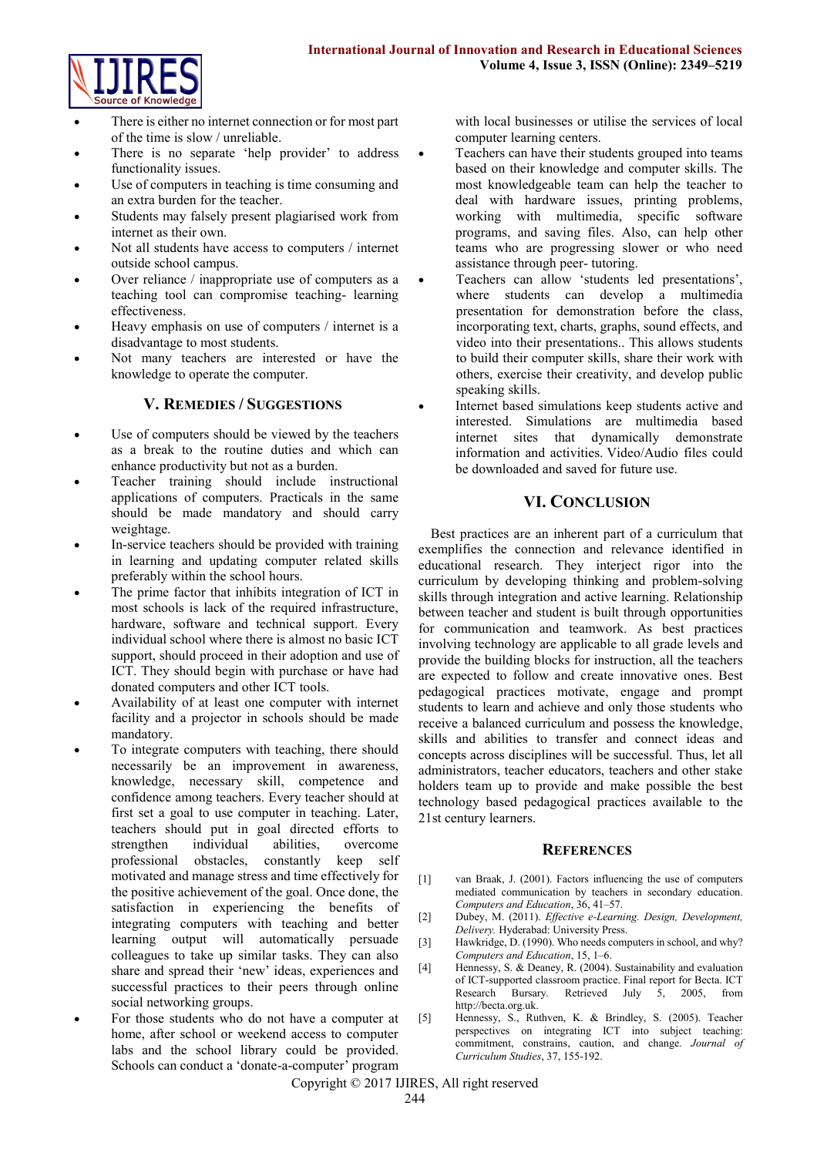

- There is either no internet connection or for most part of the time is slow / unreliable.
- There is no separate 'help provider' to address functionality issues.
- Use of computers in teaching is time consuming and an extra burden for the teacher.
- Students may falsely present plagiarised work from internet as their own.
- Not all students have access to computers / internet outside school campus.
- Over reliance / inappropriate use of computers as a teaching tool can compromise teaching- learning effectiveness.
- Heavy emphasis on use of computers / internet is a disadvantage to most students.
- Not many teachers are interested or have the knowledge to operate the computer.

#### **V. REMEDIES / SUGGESTIONS**

- Use of computers should be viewed by the teachers as a break to the routine duties and which can enhance productivity but not as a burden.
- Teacher training should include instructional applications of computers. Practicals in the same should be made mandatory and should carry weightage.
- In-service teachers should be provided with training in learning and updating computer related skills preferably within the school hours.
- The prime factor that inhibits integration of ICT in most schools is lack of the required infrastructure, hardware, software and technical support. Every individual school where there is almost no basic ICT support, should proceed in their adoption and use of ICT. They should begin with purchase or have had donated computers and other ICT tools.
- Availability of at least one computer with internet facility and a projector in schools should be made mandatory.
- To integrate computers with teaching, there should necessarily be an improvement in awareness, knowledge, necessary skill, competence and confidence among teachers. Every teacher should at first set a goal to use computer in teaching. Later, teachers should put in goal directed efforts to strengthen individual abilities, overcome professional obstacles, constantly keep self motivated and manage stress and time effectively for the positive achievement of the goal. Once done, the satisfaction in experiencing the benefits of integrating computers with teaching and better learning output will automatically persuade colleagues to take up similar tasks. They can also share and spread their 'new' ideas, experiences and successful practices to their peers through online social networking groups.
- For those students who do not have a computer at home, after school or weekend access to computer labs and the school library could be provided. Schools can conduct a 'donate-a-computer' program

with local businesses or utilise the services of local computer learning centers.

- Teachers can have their students grouped into teams based on their knowledge and computer skills. The most knowledgeable team can help the teacher to deal with hardware issues, printing problems, working with multimedia, specific software programs, and saving files. Also, can help other teams who are progressing slower or who need assistance through peer- tutoring.
- Teachers can allow 'students led presentations', where students can develop a multimedia presentation for demonstration before the class, incorporating text, charts, graphs, sound effects, and video into their presentations.. This allows students to build their computer skills, share their work with others, exercise their creativity, and develop public speaking skills.
- Internet based simulations keep students active and interested. Simulations are multimedia based internet sites that dynamically demonstrate information and activities. Video/Audio files could be downloaded and saved for future use.

### **VI. CONCLUSION**

Best practices are an inherent part of a curriculum that exemplifies the connection and relevance identified in educational research. They interject rigor into the curriculum by developing thinking and problem-solving skills through integration and active learning. Relationship between teacher and student is built through opportunities for communication and teamwork. As best practices involving technology are applicable to all grade levels and provide the building blocks for instruction, all the teachers are expected to follow and create innovative ones. Best pedagogical practices motivate, engage and prompt students to learn and achieve and only those students who receive a balanced curriculum and possess the knowledge, skills and abilities to transfer and connect ideas and concepts across disciplines will be successful. Thus, let all administrators, teacher educators, teachers and other stake holders team up to provide and make possible the best technology based pedagogical practices available to the 21st century learners.

#### **REFERENCES**

- [1] van Braak, J. (2001). Factors influencing the use of computers mediated communication by teachers in secondary education. *Computers and Education*, 36, 41–57.
- [2] Dubey, M. (2011). *Effective e-Learning. Design, Development, Delivery.* Hyderabad: University Press.
- [3] Hawkridge, D. (1990). Who needs computers in school, and why? *Computers and Education*, 15, 1–6.
- [4] Hennessy, S. & Deaney, R. (2004). Sustainability and evaluation of ICT-supported classroom practice. Final report for Becta. ICT Research Bursary. Retrieved July 5, 2005, from http://becta.org.uk.
- [5] Hennessy, S., Ruthven, K. & Brindley, S. (2005). Teacher perspectives on integrating ICT into subject teaching: commitment, constrains, caution, and change. *Journal of Curriculum Studies*, 37, 155-192.

Copyright © 2017 IJIRES, All right reserved